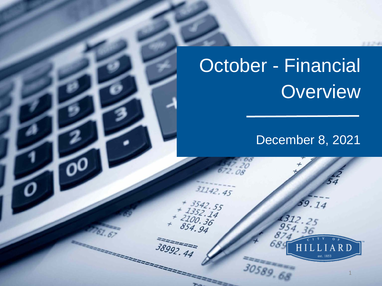# October - Financial **Overview**

30589.68

 $31142.45$ 

2222

 $+ 3542.55$ <br>  $+ 352.14$ <br>  $+ 2100.36$ <br>
854.94

38992.44

# December 8, 2021

59.14

1

RD

 $-25.34$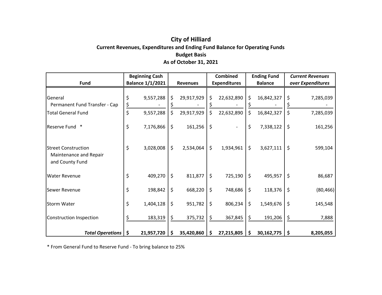### **City of Hilliard Current Revenues, Expenditures and Ending Fund Balance for Operating Funds Budget Basis As of October 31, 2021**

|                                                                         | <b>Beginning Cash</b> |                         |    |                 | <b>Combined</b>     |            | <b>Ending Fund</b> |                   | <b>Current Revenues</b> |           |
|-------------------------------------------------------------------------|-----------------------|-------------------------|----|-----------------|---------------------|------------|--------------------|-------------------|-------------------------|-----------|
| Fund                                                                    |                       | <b>Balance 1/1/2021</b> |    | <b>Revenues</b> | <b>Expenditures</b> |            | <b>Balance</b>     | over Expenditures |                         |           |
| General<br>Permanent Fund Transfer - Cap                                |                       | 9,557,288               | \$ | 29,917,929      | \$                  | 22,632,890 | $\zeta$            | 16,842,327        | \$                      | 7,285,039 |
| <b>Total General Fund</b>                                               | \$                    | 9,557,288               | \$ | 29,917,929      | \$                  | 22,632,890 | \$                 | 16,842,327        | \$                      | 7,285,039 |
| $\ast$<br><b>Reserve Fund</b>                                           | \$                    | 7,176,866               | \$ | 161,256         | $\zeta$             |            | \$                 | 7,338,122         | \$                      | 161,256   |
| <b>Street Construction</b><br>Maintenance and Repair<br>and County Fund | \$                    | 3,028,008               | \$ | 2,534,064       | \$                  | 1,934,961  | $\zeta$            | 3,627,111         | \$                      | 599,104   |
| <b>Water Revenue</b>                                                    | \$                    | 409,270                 | \$ | 811,877         | \$                  | 725,190    | $\zeta$            | 495,957           | \$                      | 86,687    |
| <b>Sewer Revenue</b>                                                    | \$                    | 198,842                 | \$ | 668,220         | \$                  | 748,686    | $\zeta$            | 118,376           | $\zeta$                 | (80, 466) |
| <b>Storm Water</b>                                                      | \$                    | 1,404,128               | \$ | 951,782         | \$                  | 806,234    | $\zeta$            | 1,549,676         | $\zeta$                 | 145,548   |
| Construction Inspection                                                 |                       | 183,319                 | \$ | 375,732         | \$                  | 367,845    | \$                 | 191,206           | \$                      | 7,888     |
| <b>Total Operations</b>                                                 | -\$                   | 21,957,720              | \$ | 35,420,860      | \$                  | 27,215,805 | -\$                | 30,162,775        | \$                      | 8,205,055 |

\* From General Fund to Reserve Fund ‐ To bring balance to 25%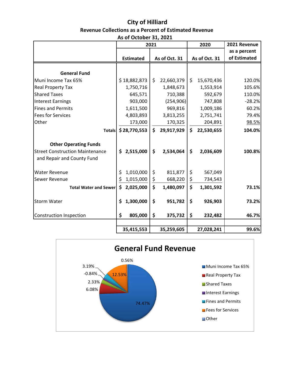## **City of Hilliard Revenue Collections as a Percent of Estimated Revenue**

|                                                                      | 2021             |    | 2020          | 2021 Revenue     |                              |
|----------------------------------------------------------------------|------------------|----|---------------|------------------|------------------------------|
|                                                                      | <b>Estimated</b> |    | As of Oct. 31 | As of Oct. 31    | as a percent<br>of Estimated |
| <b>General Fund</b>                                                  |                  |    |               |                  |                              |
| Muni Income Tax 65%                                                  | \$18,882,873     | \$ | 22,660,379    | \$<br>15,670,436 | 120.0%                       |
| <b>Real Property Tax</b>                                             | 1,750,716        |    | 1,848,673     | 1,553,914        | 105.6%                       |
| <b>Shared Taxes</b>                                                  | 645,571          |    | 710,388       | 592,679          | 110.0%                       |
| <b>Interest Earnings</b>                                             | 903,000          |    | (254, 906)    | 747,808          | $-28.2%$                     |
| <b>Fines and Permits</b>                                             | 1,611,500        |    | 969,816       | 1,009,186        | 60.2%                        |
| <b>Fees for Services</b>                                             | 4,803,893        |    | 3,813,255     | 2,751,741        | 79.4%                        |
| Other                                                                | 173,000          |    | 170,325       | 204,891          | 98.5%                        |
| <b>Totals</b>                                                        | \$28,770,553     | \$ | 29,917,929    | \$<br>22,530,655 | 104.0%                       |
| <b>Other Operating Funds</b>                                         |                  |    |               |                  |                              |
| <b>Street Construction Maintenance</b><br>and Repair and County Fund | 2,515,000<br>\$  | \$ | 2,534,064     | \$<br>2,036,609  | 100.8%                       |
| <b>Water Revenue</b>                                                 | 1,010,000<br>\$  | \$ | 811,877       | \$<br>567,049    |                              |

Sewer Revenue  $\begin{vmatrix} 5 & 1,015,000 & 5 & 668,220 & 5 & 734,543 \end{vmatrix}$ 



**Total Water and Sewer**  $\begin{vmatrix} 5 & 2,025,000 \\ 2 & 1,480,097 \end{vmatrix}$   $\begin{vmatrix} 2 & 1,301,592 \\ 2 & 1,301,592 \end{vmatrix}$  73.1%

 **35,259,605 35,415,553 27,028,241 99.6%**

Storm Water **\$ 951,782 1,300,000 \$ 926,903 \$ 73.2%**

Construction Inspection **\$ 375,732 805,000 \$ 232,482 \$ 46.7%**

## **As of October 31, 2021**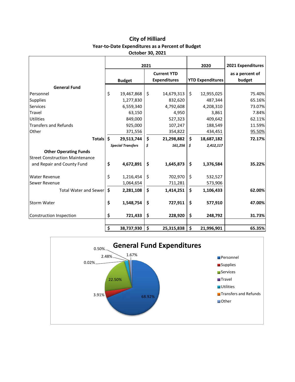#### **City of Hilliard Year‐to‐Date Expenditures as a Percent of Budget October 30, 2021**

|                                        | 2021 |                          |                                           | 2020       |                         | 2021 Expenditures |                           |  |
|----------------------------------------|------|--------------------------|-------------------------------------------|------------|-------------------------|-------------------|---------------------------|--|
|                                        |      | <b>Budget</b>            | <b>Current YTD</b><br><b>Expenditures</b> |            | <b>YTD Expenditures</b> |                   | as a percent of<br>budget |  |
| <b>General Fund</b>                    |      |                          |                                           |            |                         |                   |                           |  |
| Personnel                              | \$   | 19,467,868               | \$                                        | 14,679,313 | \$                      | 12,955,025        | 75.40%                    |  |
| <b>Supplies</b>                        |      | 1,277,830                |                                           | 832,620    |                         | 487,344           | 65.16%                    |  |
| <b>Services</b>                        |      | 6,559,340                |                                           | 4,792,608  |                         | 4,208,310         | 73.07%                    |  |
| Travel                                 |      | 63,150                   |                                           | 4,950      |                         | 3,861             | 7.84%                     |  |
| <b>Utilities</b>                       |      | 849,000                  |                                           | 527,323    |                         | 409,642           | 62.11%                    |  |
| <b>Transfers and Refunds</b>           |      | 925,000                  |                                           | 107,247    |                         | 188,549           | 11.59%                    |  |
| Other                                  |      | 371,556                  |                                           | 354,822    |                         | 434,451           | 95.50%                    |  |
| <b>Totals</b>                          | \$   | 29,513,744               | \$                                        | 21,298,882 | \$                      | 18,687,182        | 72.17%                    |  |
|                                        |      | <b>Special Transfers</b> | \$                                        | 161,256    | \$                      | 2,412,117         |                           |  |
| <b>Other Operating Funds</b>           |      |                          |                                           |            |                         |                   |                           |  |
| <b>Street Construction Maintenance</b> |      |                          |                                           |            |                         |                   |                           |  |
| and Repair and County Fund             | \$   | 4,672,891                | \$                                        | 1,645,873  | \$                      | 1,376,584         | 35.22%                    |  |
| <b>Water Revenue</b>                   | \$   | 1,216,454                | \$                                        | 702,970    | \$                      | 532,527           |                           |  |
| <b>Sewer Revenue</b>                   |      | 1,064,654                |                                           | 711,281    |                         | 573,906           |                           |  |
| <b>Total Water and Sewer</b>           | \$   | 2,281,108                | \$                                        | 1,414,251  | \$                      | 1,106,433         | 62.00%                    |  |
| <b>Storm Water</b>                     | \$   | 1,548,754                | \$                                        | 727,911    | \$                      | 577,910           | 47.00%                    |  |
| Construction Inspection                | \$   | 721,433                  | \$                                        | 228,920    | \$                      | 248,792           | 31.73%                    |  |
|                                        |      |                          |                                           |            |                         |                   |                           |  |
|                                        | \$   | 38,737,930               | \$                                        | 25,315,838 | \$                      | 21,996,901        | 65.35%                    |  |